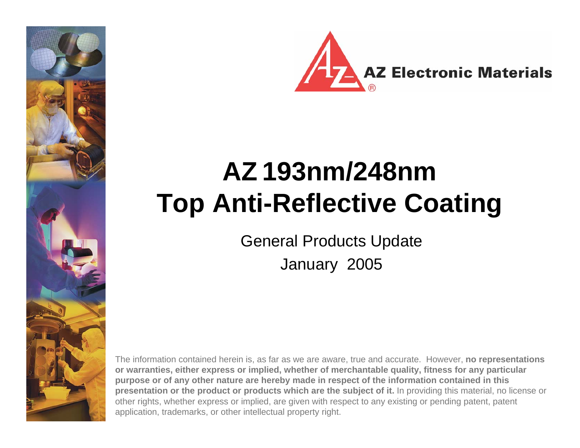



# **AZ 193nm/248nm Top Anti-Reflective Coating**

General Products Update

January 2005

The information contained herein is, as far as we are aware, true and accurate. However, **no representations or warranties, either express or implied, whether of merchantable quality, fitness for any particular purpose or of any other nature are hereby made in respect of the information contained in this presentation or the product or products which are the subject of it.** In providing this material, no license or other rights, whether express or implied, are given with respect to any existing or pending patent, patent application, trademarks, or other intellectual property right.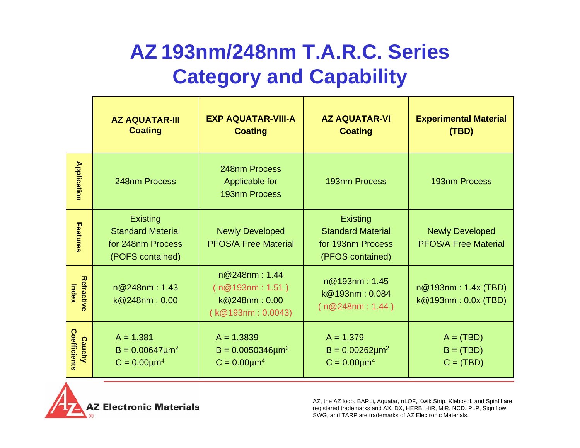## **AZ 193nm/248nm T.A.R.C. Series Category and Capability**

|                               | <b>AZ AQUATAR-III</b><br><b>Coating</b>                                              | <b>EXP AQUATAR-VIII-A</b><br><b>Coating</b>                           | <b>AZ AQUATAR-VI</b><br><b>Coating</b>                                               | <b>Experimental Material</b><br>(TBD)                 |
|-------------------------------|--------------------------------------------------------------------------------------|-----------------------------------------------------------------------|--------------------------------------------------------------------------------------|-------------------------------------------------------|
| <b>Application</b>            | 248nm Process                                                                        | 248nm Process<br>Applicable for<br><b>193nm Process</b>               | 193nm Process                                                                        | 193nm Process                                         |
| Features                      | <b>Existing</b><br><b>Standard Material</b><br>for 248nm Process<br>(POFS contained) | <b>Newly Developed</b><br><b>PFOS/A Free Material</b>                 | <b>Existing</b><br><b>Standard Material</b><br>for 193nm Process<br>(PFOS contained) | <b>Newly Developed</b><br><b>PFOS/A Free Material</b> |
| Refractive<br>Index           | n@248nm:1.43<br>k@248nm:0.00                                                         | n@248nm:1.44<br>(n@193nm:1.51)<br>k@248nm:0.00<br>( k@193nm : 0.0043) | n@193nm:1.45<br>k@193nm: 0.084<br>(n@248nm:1.44)                                     | n@193nm: 1.4x (TBD)<br>k@193nm: 0.0x (TBD)            |
| Coefficients<br><b>Cauchy</b> | $A = 1.381$<br>$B = 0.00647 \mu m^2$<br>$C = 0.00 \mu m^4$                           | $A = 1.3839$<br>$B = 0.0050346 \mu m^2$<br>$C = 0.00 \mu m^4$         | $A = 1.379$<br>$B = 0.00262 \mu m^2$<br>$C = 0.00 \mu m^4$                           | $A = (TBD)$<br>$B = (TBD)$<br>$C = (TBD)$             |

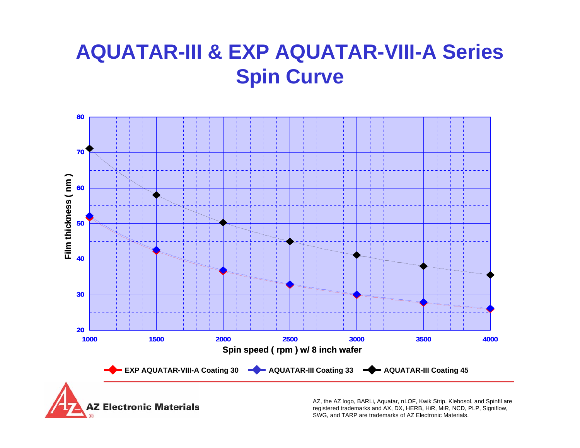## **AQUATAR-III & EXP AQUATAR-VIII-A Series Spin Curve**



Z Electronic Materials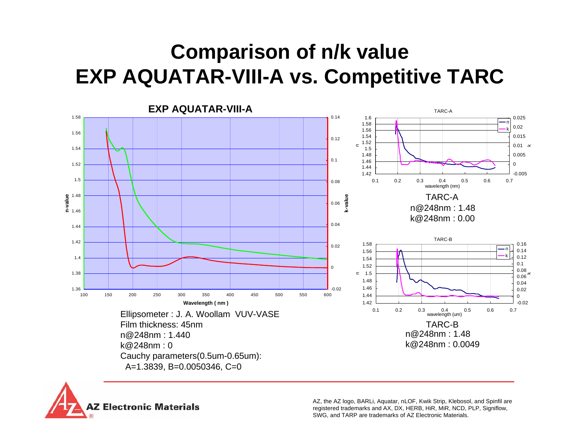## **Comparison of n/k value EXP AQUATAR-VIII-A vs. Competitive TARC**



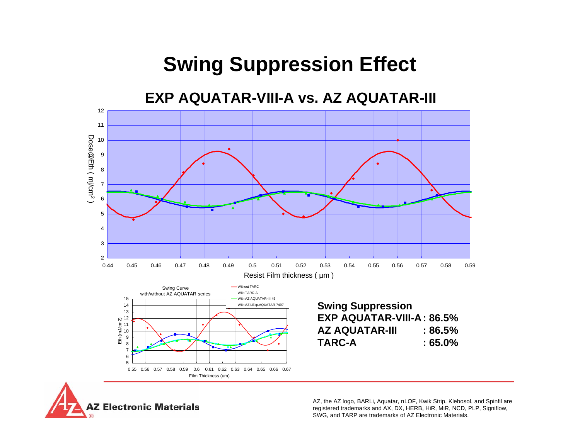## **Swing Suppression Effect**

**EXP AQUATAR-VIII-A vs. AZ AQUATAR-III**



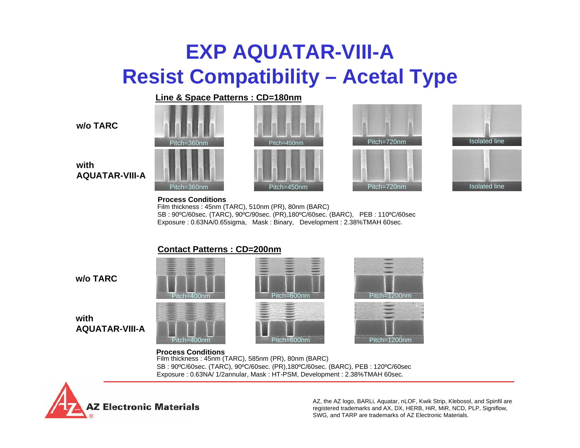### **EXP AQUATAR-VIII-A Resist Compatibility – Acetal Type**

#### **Line & Space Patterns : CD=180nm**

#### **w/o TARC**











#### **withAQUATAR-VIII-A**

#### **Process Conditions**

Film thickness : 45nm (TARC), 510nm (PR), 80nm (BARC) SB : 90ºC/60sec. (TARC), 90ºC/90sec. (PR),180ºC/60sec. (BARC), PEB : 110ºC/60sec Exposure : 0.63NA/0.65sigma, Mask : Binary, Development : 2.38%TMAH 60sec.

#### **Contact Patterns : CD=200nm**

**w/o TARC**

#### **withAQUATAR-VIII-A**







Film thickness : 45nm (TARC), 585nm (PR), 80nm (BARC) SB : 90ºC/60sec. (TARC), 90ºC/60sec. (PR),180ºC/60sec. (BARC), PEB : 120ºC/60sec Exposure : 0.63NA/ 1/2annular, Mask : HT-PSM, Development : 2.38%TMAH 60sec. **Process Conditions**

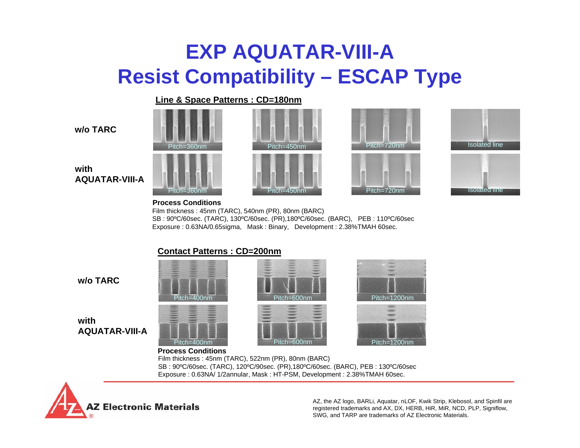## **EXP AQUATAR-VIII-A Resist Compatibility – ESCAP Type**

#### **Line & Space Patterns : CD=180nm**

| w/o TARC |
|----------|
|----------|













#### **withAQUATAR-VIII-A**

#### **Process Conditions**

Film thickness : 45nm (TARC), 540nm (PR), 80nm (BARC) SB : 90ºC/60sec. (TARC), 130ºC/60sec. (PR),180ºC/60sec. (BARC), PEB : 110ºC/60sec Exposure : 0.63NA/0.65sigma, Mask : Binary, Development : 2.38%TMAH 60sec.

#### **Contact Patterns : CD=200nm**

**w/o TARC**

**withAQUATAR-VIII-A**







#### **Process Conditions**

Film thickness : 45nm (TARC), 522nm (PR), 80nm (BARC) SB : 90ºC/60sec. (TARC), 120ºC/90sec. (PR),180ºC/60sec. (BARC), PEB : 130ºC/60sec Exposure : 0.63NA/ 1/2annular, Mask : HT-PSM, Development : 2.38%TMAH 60sec.

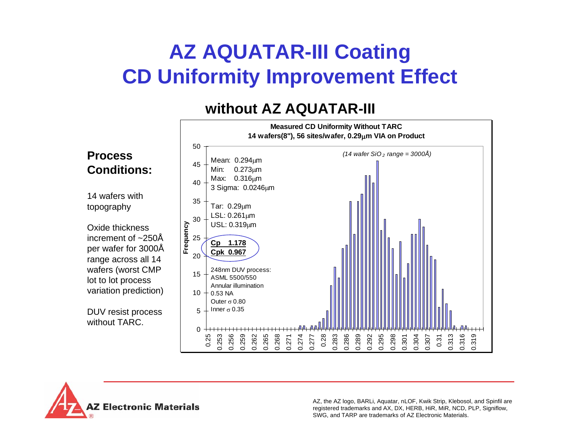## **AZ AQUATAR-III Coating CD Uniformity Improvement Effect**

### **without AZ AQUATAR-III**



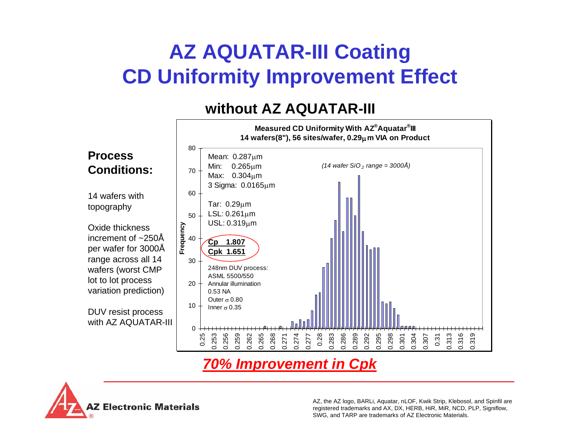## **AZ AQUATAR-III Coating CD Uniformity Improvement Effect**

### **without AZ AQUATAR-III**



### *70% Improvement in Cpk*

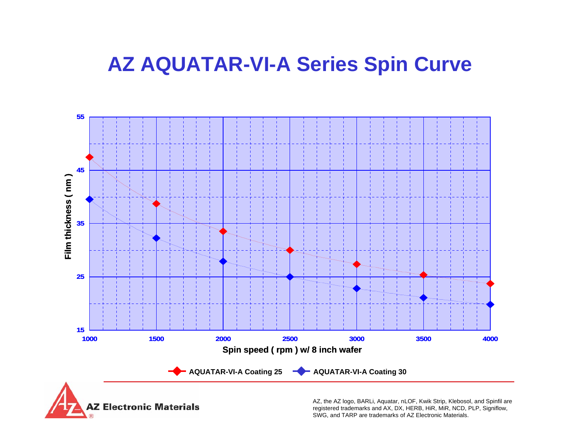### **AZ AQUATAR-VI-A Series Spin Curve**



**AZ Electronic Materials**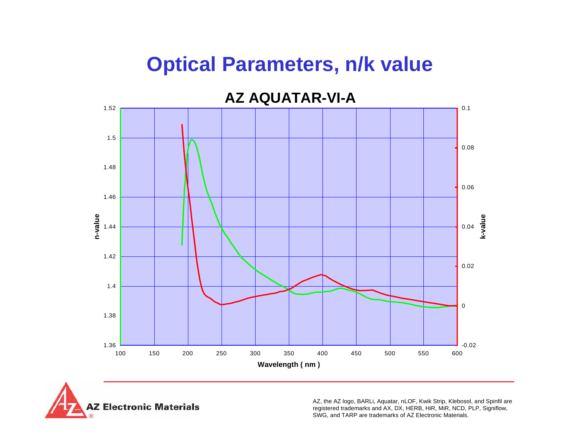### **Optical Parameters, n/k value**